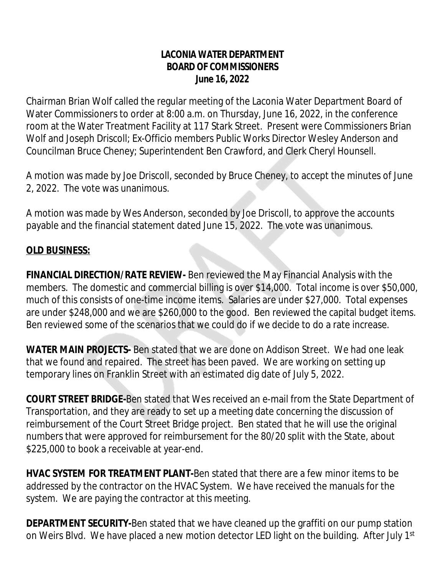## **LACONIA WATER DEPARTMENT BOARD OF COMMISSIONERS June 16, 2022**

Chairman Brian Wolf called the regular meeting of the Laconia Water Department Board of Water Commissioners to order at 8:00 a.m. on Thursday, June 16, 2022, in the conference room at the Water Treatment Facility at 117 Stark Street. Present were Commissioners Brian Wolf and Joseph Driscoll; Ex-Officio members Public Works Director Wesley Anderson and Councilman Bruce Cheney; Superintendent Ben Crawford, and Clerk Cheryl Hounsell.

A motion was made by Joe Driscoll, seconded by Bruce Cheney, to accept the minutes of June 2, 2022. The vote was unanimous.

A motion was made by Wes Anderson, seconded by Joe Driscoll, to approve the accounts payable and the financial statement dated June 15, 2022. The vote was unanimous.

## **OLD BUSINESS:**

**FINANCIAL DIRECTION/RATE REVIEW-** Ben reviewed the May Financial Analysis with the members. The domestic and commercial billing is over \$14,000. Total income is over \$50,000, much of this consists of one-time income items. Salaries are under \$27,000. Total expenses are under \$248,000 and we are \$260,000 to the good. Ben reviewed the capital budget items. Ben reviewed some of the scenarios that we could do if we decide to do a rate increase.

**WATER MAIN PROJECTS-** Ben stated that we are done on Addison Street. We had one leak that we found and repaired. The street has been paved. We are working on setting up temporary lines on Franklin Street with an estimated dig date of July 5, 2022.

**COURT STREET BRIDGE-**Ben stated that Wes received an e-mail from the State Department of Transportation, and they are ready to set up a meeting date concerning the discussion of reimbursement of the Court Street Bridge project. Ben stated that he will use the original numbers that were approved for reimbursement for the 80/20 split with the State, about \$225,000 to book a receivable at year-end.

**HVAC SYSTEM FOR TREATMENT PLANT-**Ben stated that there are a few minor items to be addressed by the contractor on the HVAC System. We have received the manuals for the system. We are paying the contractor at this meeting.

**DEPARTMENT SECURITY-**Ben stated that we have cleaned up the graffiti on our pump station on Weirs Blvd. We have placed a new motion detector LED light on the building. After July 1<sup>st</sup>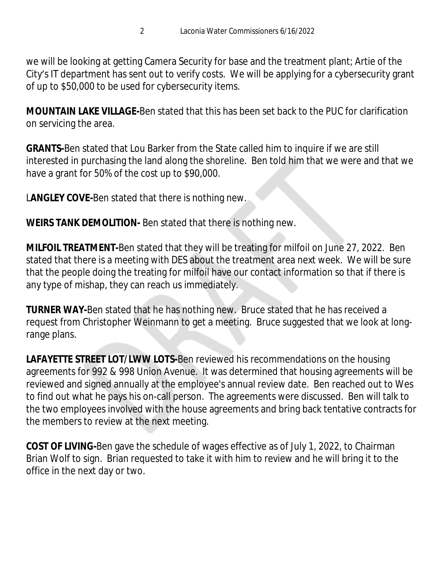we will be looking at getting Camera Security for base and the treatment plant; Artie of the City's IT department has sent out to verify costs. We will be applying for a cybersecurity grant of up to \$50,000 to be used for cybersecurity items.

**MOUNTAIN LAKE VILLAGE-**Ben stated that this has been set back to the PUC for clarification on servicing the area.

**GRANTS-**Ben stated that Lou Barker from the State called him to inquire if we are still interested in purchasing the land along the shoreline. Ben told him that we were and that we have a grant for 50% of the cost up to \$90,000.

L**ANGLEY COVE-**Ben stated that there is nothing new.

**WEIRS TANK DEMOLITION-** Ben stated that there is nothing new.

**MILFOIL TREATMENT-**Ben stated that they will be treating for milfoil on June 27, 2022. Ben stated that there is a meeting with DES about the treatment area next week. We will be sure that the people doing the treating for milfoil have our contact information so that if there is any type of mishap, they can reach us immediately.

**TURNER WAY-**Ben stated that he has nothing new. Bruce stated that he has received a request from Christopher Weinmann to get a meeting. Bruce suggested that we look at longrange plans.

**LAFAYETTE STREET LOT/LWW LOTS-**Ben reviewed his recommendations on the housing agreements for 992 & 998 Union Avenue. It was determined that housing agreements will be reviewed and signed annually at the employee's annual review date. Ben reached out to Wes to find out what he pays his on-call person. The agreements were discussed. Ben will talk to the two employees involved with the house agreements and bring back tentative contracts for the members to review at the next meeting.

**COST OF LIVING-**Ben gave the schedule of wages effective as of July 1, 2022, to Chairman Brian Wolf to sign. Brian requested to take it with him to review and he will bring it to the office in the next day or two.